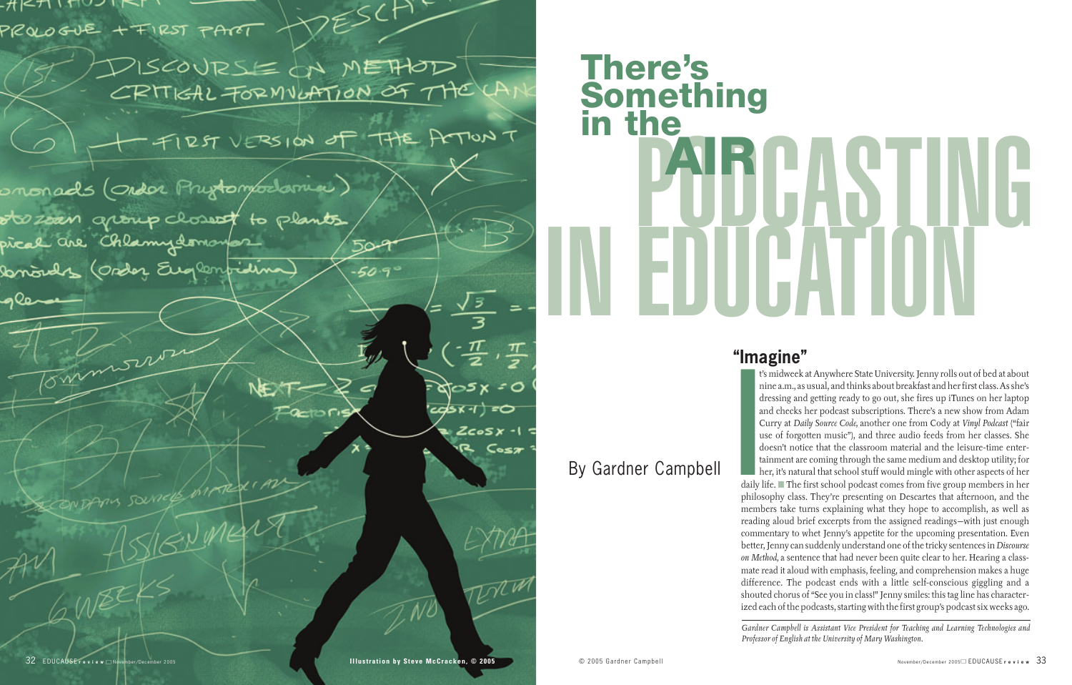$+$   $H$  |  $<$   $+$   $\sim$   $+$   $\sim$   $+$   $\sim$   $+$   $\sim$   $+$ PROLOGUE + FIRST PART

> DISCOURSE ON METHOD CRITICAL FORMULATION OF THE LA

DESCHE

RST VERSION OF THE POTTOM T



# **POBCASTING There's Something in the AIR**

# By Gardner Campbell

*Gardner Campbell is Assistant Vice President for Teaching and Learning Technologies and*

**Professor of English at Anywhere State University. Jet similar a.m., as usual, and thinks about breakfadencessing and getting ready to go out, she find and checks her podcast subscriptions. The Curry at** *Daily Source Code* t's midweek at Anywhere State University. Jenny rolls out of bed at about nine a.m., as usual, and thinks about breakfast and her first class. As she's dressing and getting ready to go out, she fires up iTunes on her laptop and checks her podcast subscriptions. There's a new show from Adam Curry at *Daily Source Code,* another one from Cody at *Vinyl Podcast* ("fair use of forgotten music"), and three audio feeds from her classes. She doesn't notice that the classroom material and the leisure-time entertainment are coming through the same medium and desktop utility; for her, it's natural that school stuff would mingle with other aspects of her daily life. ■ The first school podcast comes from five group members in her philosophy class. They're presenting on Descartes that afternoon, and the members take turns explaining what they hope to accomplish, as well as reading aloud brief excerpts from the assigned readings—with just enough commentary to whet Jenny's appetite for the upcoming presentation. Even better, Jenny can suddenly understand one of the tricky sentences in *Discourse on Method,* a sentence that had never been quite clear to her. Hearing a classmate read it aloud with emphasis, feeling, and comprehension makes a huge difference. The podcast ends with a little self-conscious giggling and a shouted chorus of "See you in class!" Jenny smiles: this tag line has characterized each of the podcasts, starting with the first group's podcast six weeks ago.

# **"Imagine"**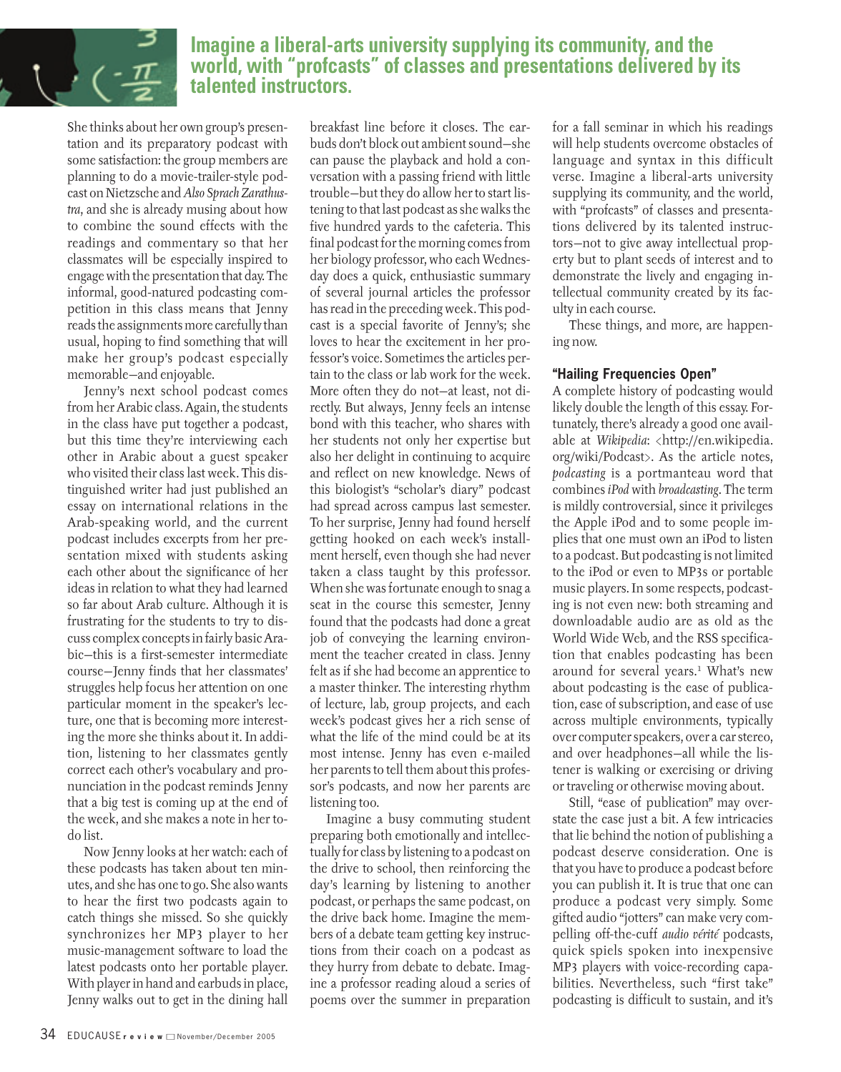

## **Imagine a liberal-arts university supplying its community, and the world, with "profcasts" of classes and presentations delivered by its talented instructors.**

She thinks about her own group's presentation and its preparatory podcast with some satisfaction: the group members are planning to do a movie-trailer-style podcast on Nietzsche and *Also Sprach Zarathustra*, and she is already musing about how to combine the sound effects with the readings and commentary so that her classmates will be especially inspired to engage with the presentation that day. The informal, good-natured podcasting competition in this class means that Jenny reads the assignments more carefully than usual, hoping to find something that will make her group's podcast especially memorable—and enjoyable.

Jenny's next school podcast comes from her Arabic class. Again, the students in the class have put together a podcast, but this time they're interviewing each other in Arabic about a guest speaker who visited their class last week. This distinguished writer had just published an essay on international relations in the Arab-speaking world, and the current podcast includes excerpts from her presentation mixed with students asking each other about the significance of her ideas in relation to what they had learned so far about Arab culture. Although it is frustrating for the students to try to discuss complex concepts in fairly basic Arabic—this is a first-semester intermediate course—Jenny finds that her classmates' struggles help focus her attention on one particular moment in the speaker's lecture, one that is becoming more interesting the more she thinks about it. In addition, listening to her classmates gently correct each other's vocabulary and pronunciation in the podcast reminds Jenny that a big test is coming up at the end of the week, and she makes a note in her todo list.

Now Jenny looks at her watch: each of these podcasts has taken about ten minutes, and she has one to go. She also wants to hear the first two podcasts again to catch things she missed. So she quickly synchronizes her MP3 player to her music-management software to load the latest podcasts onto her portable player. With player in hand and earbuds in place, Jenny walks out to get in the dining hall

breakfast line before it closes. The earbuds don't block out ambient sound—she can pause the playback and hold a conversation with a passing friend with little trouble—but they do allow her to start listening to that last podcast as she walks the five hundred yards to the cafeteria. This final podcast for the morning comes from her biology professor, who each Wednesday does a quick, enthusiastic summary of several journal articles the professor has read in the preceding week. This podcast is a special favorite of Jenny's; she loves to hear the excitement in her professor's voice. Sometimes the articles pertain to the class or lab work for the week. More often they do not—at least, not directly. But always, Jenny feels an intense bond with this teacher, who shares with her students not only her expertise but also her delight in continuing to acquire and reflect on new knowledge. News of this biologist's "scholar's diary" podcast had spread across campus last semester. To her surprise, Jenny had found herself getting hooked on each week's installment herself, even though she had never taken a class taught by this professor. When she was fortunate enough to snag a seat in the course this semester, Jenny found that the podcasts had done a great job of conveying the learning environment the teacher created in class. Jenny felt as if she had become an apprentice to a master thinker. The interesting rhythm of lecture, lab, group projects, and each week's podcast gives her a rich sense of what the life of the mind could be at its most intense. Jenny has even e-mailed her parents to tell them about this professor's podcasts, and now her parents are listening too.

Imagine a busy commuting student preparing both emotionally and intellectually for class by listening to a podcast on the drive to school, then reinforcing the day's learning by listening to another podcast, or perhaps the same podcast, on the drive back home. Imagine the members of a debate team getting key instructions from their coach on a podcast as they hurry from debate to debate. Imagine a professor reading aloud a series of poems over the summer in preparation for a fall seminar in which his readings will help students overcome obstacles of language and syntax in this difficult verse. Imagine a liberal-arts university supplying its community, and the world, with "profcasts" of classes and presentations delivered by its talented instructors—not to give away intellectual property but to plant seeds of interest and to demonstrate the lively and engaging intellectual community created by its faculty in each course.

These things, and more, are happening now.

### **"Hailing Frequencies Open"**

A complete history of podcasting would likely double the length of this essay. Fortunately, there's already a good one available at *Wikipedia*: <http://en.wikipedia. org/wiki/Podcast>. As the article notes, *podcasting* is a portmanteau word that combines *iPod* with *broadcasting*. The term is mildly controversial, since it privileges the Apple iPod and to some people implies that one must own an iPod to listen to a podcast. But podcasting is not limited to the iPod or even to MP3s or portable music players. In some respects, podcasting is not even new: both streaming and downloadable audio are as old as the World Wide Web, and the RSS specification that enables podcasting has been around for several years.<sup>1</sup> What's new about podcasting is the ease of publication, ease of subscription, and ease of use across multiple environments, typically over computer speakers, over a car stereo, and over headphones—all while the listener is walking or exercising or driving or traveling or otherwise moving about.

Still, "ease of publication" may overstate the case just a bit. A few intricacies that lie behind the notion of publishing a podcast deserve consideration. One is that you have to produce a podcast before you can publish it. It is true that one can produce a podcast very simply. Some gifted audio "jotters" can make very compelling off-the-cuff *audio vérité* podcasts, quick spiels spoken into inexpensive MP3 players with voice-recording capabilities. Nevertheless, such "first take" podcasting is difficult to sustain, and it's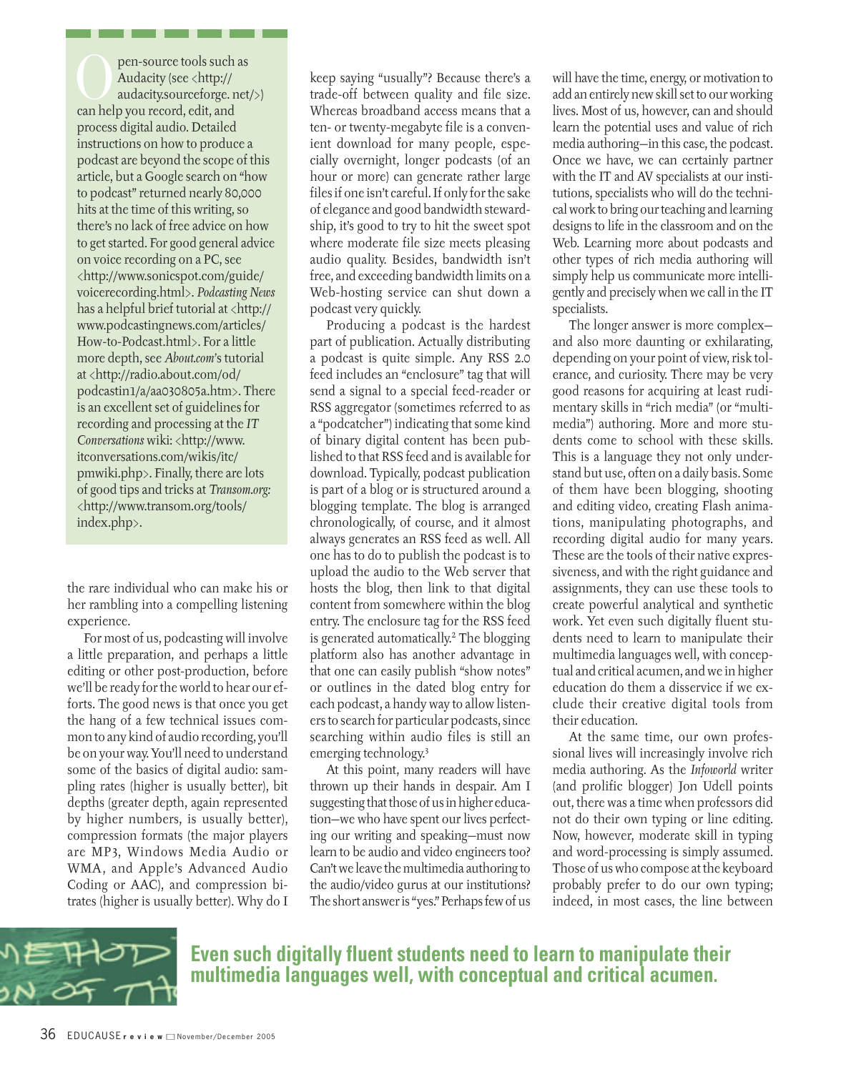pen-source tools such as<br>Audacity (see <http://<br>audacity.sourceforge.net<br>can help you record.edit.and Audacity (see <http:// audacity.sourceforge. net/>) can help you record, edit, and process digital audio. Detailed instructions on how to produce a podcast are beyond the scope of this article, but a Google search on "how to podcast" returned nearly 80,000 hits at the time of this writing, so there's no lack of free advice on how to get started. For good general advice on voice recording on a PC, see <http://www.sonicspot.com/guide/ voicerecording.html>. *Podcasting News* has a helpful brief tutorial at  $\langle$ http:// www.podcastingnews.com/articles/ How-to-Podcast.html>. For a little more depth, see *About.com'*s tutorial at <http://radio.about.com/od/ podcastin1/a/aa030805a.htm>. There is an excellent set of guidelines for recording and processing at the *IT Conversations* wiki: <http://www. itconversations.com/wikis/itc/ pmwiki.php>. Finally, there are lots of good tips and tricks at *Transom.org:* <http://www.transom.org/tools/ index.php>.

the rare individual who can make his or her rambling into a compelling listening experience.

For most of us, podcasting will involve a little preparation, and perhaps a little editing or other post-production, before we'll be ready for the world to hear our efforts. The good news is that once you get the hang of a few technical issues common to any kind of audio recording, you'll be on your way. You'll need to understand some of the basics of digital audio: sampling rates (higher is usually better), bit depths (greater depth, again represented by higher numbers, is usually better), compression formats (the major players are MP3, Windows Media Audio or WMA, and Apple's Advanced Audio Coding or AAC), and compression bitrates (higher is usually better). Why do I

keep saying "usually"? Because there's a trade-off between quality and file size. Whereas broadband access means that a ten- or twenty-megabyte file is a convenient download for many people, especially overnight, longer podcasts (of an hour or more) can generate rather large files if one isn't careful. If only for the sake of elegance and good bandwidth stewardship, it's good to try to hit the sweet spot where moderate file size meets pleasing audio quality. Besides, bandwidth isn't free, and exceeding bandwidth limits on a Web-hosting service can shut down a podcast very quickly.

Producing a podcast is the hardest part of publication. Actually distributing a podcast is quite simple. Any RSS 2.0 feed includes an "enclosure" tag that will send a signal to a special feed-reader or RSS aggregator (sometimes referred to as a "podcatcher") indicating that some kind of binary digital content has been published to that RSS feed and is available for download. Typically, podcast publication is part of a blog or is structured around a blogging template. The blog is arranged chronologically, of course, and it almost always generates an RSS feed as well. All one has to do to publish the podcast is to upload the audio to the Web server that hosts the blog, then link to that digital content from somewhere within the blog entry. The enclosure tag for the RSS feed is generated automatically.2 The blogging platform also has another advantage in that one can easily publish "show notes" or outlines in the dated blog entry for each podcast, a handy way to allow listeners to search for particular podcasts, since searching within audio files is still an emerging technology.3

At this point, many readers will have thrown up their hands in despair. Am I suggesting that those of us in higher education—we who have spent our lives perfecting our writing and speaking—must now learn to be audio and video engineers too? Can't we leave the multimedia authoring to the audio/video gurus at our institutions? The short answer is "yes." Perhaps few of us will have the time, energy, or motivation to add an entirely new skill set to our working lives. Most of us, however, can and should learn the potential uses and value of rich media authoring—in this case, the podcast. Once we have, we can certainly partner with the IT and AV specialists at our institutions, specialists who will do the technical work to bring our teaching and learning designs to life in the classroom and on the Web. Learning more about podcasts and other types of rich media authoring will simply help us communicate more intelligently and precisely when we call in the IT specialists.

The longer answer is more complex and also more daunting or exhilarating, depending on your point of view, risk tolerance, and curiosity. There may be very good reasons for acquiring at least rudimentary skills in "rich media" (or "multimedia") authoring. More and more students come to school with these skills. This is a language they not only understand but use, often on a daily basis. Some of them have been blogging, shooting and editing video, creating Flash animations, manipulating photographs, and recording digital audio for many years. These are the tools of their native expressiveness, and with the right guidance and assignments, they can use these tools to create powerful analytical and synthetic work. Yet even such digitally fluent students need to learn to manipulate their multimedia languages well, with conceptual and critical acumen, and we in higher education do them a disservice if we exclude their creative digital tools from their education.

At the same time, our own professional lives will increasingly involve rich media authoring. As the *Infoworld* writer (and prolific blogger) Jon Udell points out, there was a time when professors did not do their own typing or line editing. Now, however, moderate skill in typing and word-processing is simply assumed. Those of us who compose at the keyboard probably prefer to do our own typing; indeed, in most cases, the line between



**Even such digitally fluent students need to learn to manipulate their multimedia languages well, with conceptual and critical acumen.**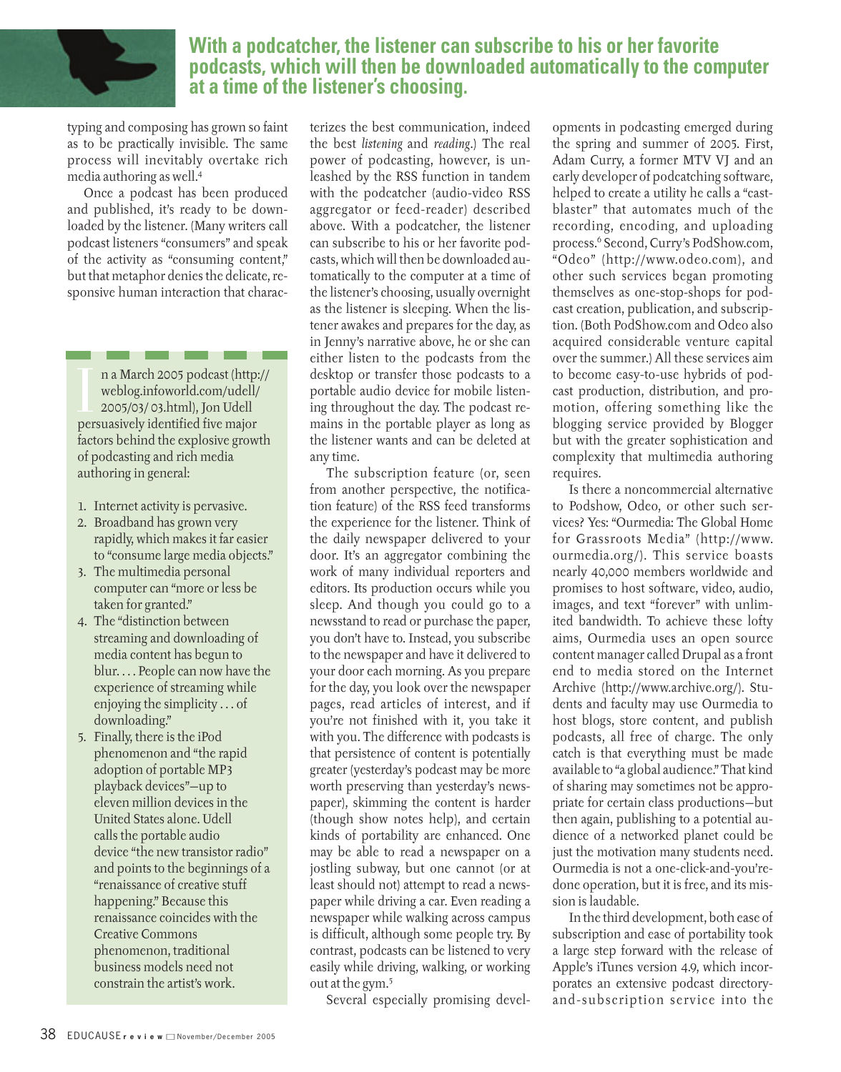

## **With a podcatcher, the listener can subscribe to his or her favorite podcasts, which will then be downloaded automatically to the computer at a time of the listener's choosing.**

typing and composing has grown so faint as to be practically invisible. The same process will inevitably overtake rich media authoring as well.4

Once a podcast has been produced and published, it's ready to be downloaded by the listener. (Many writers call podcast listeners "consumers" and speak of the activity as "consuming content," but that metaphor denies the delicate, responsive human interaction that charac-

n a March 2005 podcast (http<br>weblog.infoworld.com/udell<br>2005/03/ 03.html), Jon Udell<br>persuasively identified five major n a March 2005 podcast (http:// weblog.infoworld.com/udell/ 2005/03/ 03.html), Jon Udell factors behind the explosive growth of podcasting and rich media authoring in general:

- 1. Internet activity is pervasive.
- 2. Broadband has grown very rapidly, which makes it far easier to "consume large media objects."
- 3. The multimedia personal computer can "more or less be taken for granted."
- 4. The "distinction between streaming and downloading of media content has begun to blur. . . . People can now have the experience of streaming while enjoying the simplicity . . . of downloading."
- 5. Finally, there is the iPod phenomenon and "the rapid adoption of portable MP3 playback devices"—up to eleven million devices in the United States alone. Udell calls the portable audio device "the new transistor radio" and points to the beginnings of a "renaissance of creative stuff happening." Because this renaissance coincides with the Creative Commons phenomenon, traditional business models need not constrain the artist's work.

terizes the best communication, indeed the best *listening* and *reading*.) The real power of podcasting, however, is unleashed by the RSS function in tandem with the podcatcher (audio-video RSS aggregator or feed-reader) described above. With a podcatcher, the listener can subscribe to his or her favorite podcasts, which will then be downloaded automatically to the computer at a time of the listener's choosing, usually overnight as the listener is sleeping. When the listener awakes and prepares for the day, as in Jenny's narrative above, he or she can either listen to the podcasts from the desktop or transfer those podcasts to a portable audio device for mobile listening throughout the day. The podcast remains in the portable player as long as the listener wants and can be deleted at any time.

The subscription feature (or, seen from another perspective, the notification feature) of the RSS feed transforms the experience for the listener. Think of the daily newspaper delivered to your door. It's an aggregator combining the work of many individual reporters and editors. Its production occurs while you sleep. And though you could go to a newsstand to read or purchase the paper, you don't have to. Instead, you subscribe to the newspaper and have it delivered to your door each morning. As you prepare for the day, you look over the newspaper pages, read articles of interest, and if you're not finished with it, you take it with you. The difference with podcasts is that persistence of content is potentially greater (yesterday's podcast may be more worth preserving than yesterday's newspaper), skimming the content is harder (though show notes help), and certain kinds of portability are enhanced. One may be able to read a newspaper on a jostling subway, but one cannot (or at least should not) attempt to read a newspaper while driving a car. Even reading a newspaper while walking across campus is difficult, although some people try. By contrast, podcasts can be listened to very easily while driving, walking, or working out at the gym.5

Several especially promising devel-

opments in podcasting emerged during the spring and summer of 2005. First, Adam Curry, a former MTV VJ and an early developer of podcatching software, helped to create a utility he calls a "castblaster" that automates much of the recording, encoding, and uploading process.6 Second, Curry's PodShow.com, "Odeo" (http://www.odeo.com), and other such services began promoting themselves as one-stop-shops for podcast creation, publication, and subscription. (Both PodShow.com and Odeo also acquired considerable venture capital over the summer.) All these services aim to become easy-to-use hybrids of podcast production, distribution, and promotion, offering something like the blogging service provided by Blogger but with the greater sophistication and complexity that multimedia authoring requires.

Is there a noncommercial alternative to Podshow, Odeo, or other such services? Yes: "Ourmedia: The Global Home for Grassroots Media" (http://www. ourmedia.org/). This service boasts nearly 40,000 members worldwide and promises to host software, video, audio, images, and text "forever" with unlimited bandwidth. To achieve these lofty aims, Ourmedia uses an open source content manager called Drupal as a front end to media stored on the Internet Archive (http://www.archive.org/). Students and faculty may use Ourmedia to host blogs, store content, and publish podcasts, all free of charge. The only catch is that everything must be made available to "a global audience." That kind of sharing may sometimes not be appropriate for certain class productions—but then again, publishing to a potential audience of a networked planet could be just the motivation many students need. Ourmedia is not a one-click-and-you'redone operation, but it is free, and its mission is laudable.

In the third development, both ease of subscription and ease of portability took a large step forward with the release of Apple's iTunes version 4.9, which incorporates an extensive podcast directoryand-subscription service into the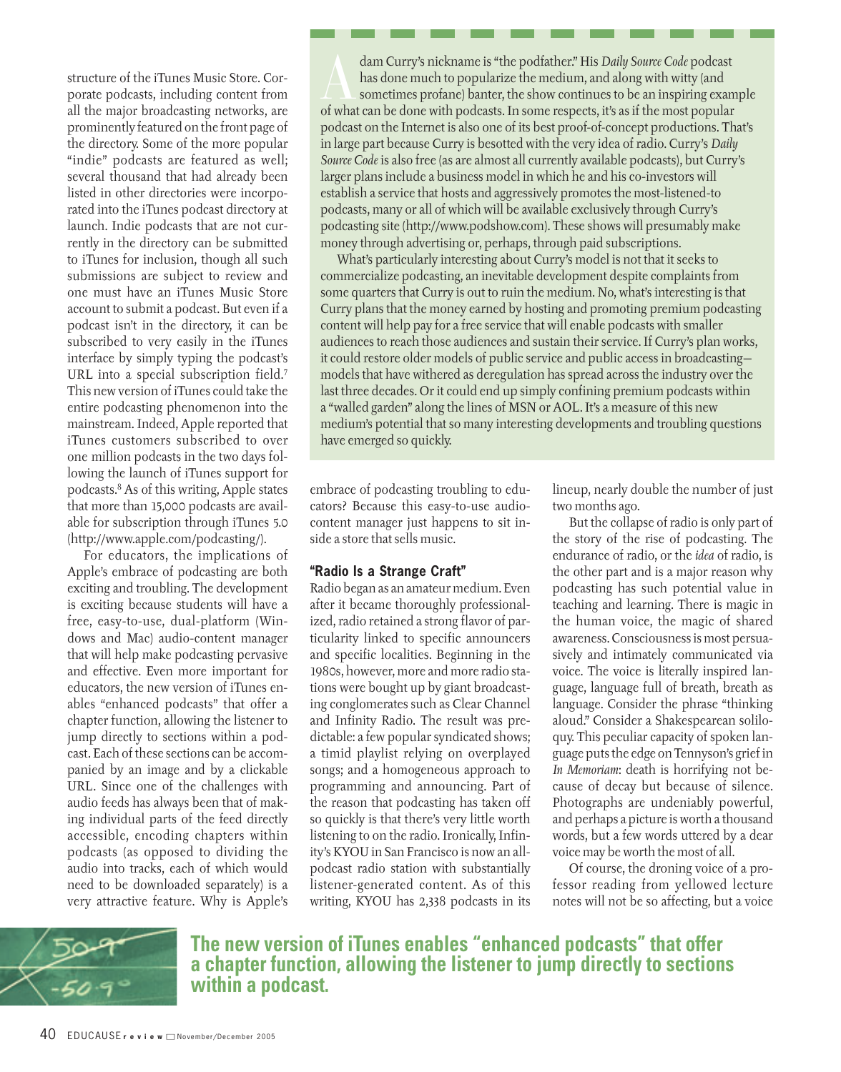structure of the iTunes Music Store. Corporate podcasts, including content from all the major broadcasting networks, are prominently featured on the front page of the directory. Some of the more popular "indie" podcasts are featured as well; several thousand that had already been listed in other directories were incorporated into the iTunes podcast directory at launch. Indie podcasts that are not currently in the directory can be submitted to iTunes for inclusion, though all such submissions are subject to review and one must have an iTunes Music Store account to submit a podcast. But even if a podcast isn't in the directory, it can be subscribed to very easily in the iTunes interface by simply typing the podcast's URL into a special subscription field.<sup>7</sup> This new version of iTunes could take the entire podcasting phenomenon into the mainstream. Indeed, Apple reported that iTunes customers subscribed to over one million podcasts in the two days following the launch of iTunes support for podcasts.8 As of this writing, Apple states that more than 15,000 podcasts are available for subscription through iTunes 5.0 (http://www.apple.com/podcasting/).

For educators, the implications of Apple's embrace of podcasting are both exciting and troubling. The development is exciting because students will have a free, easy-to-use, dual-platform (Windows and Mac) audio-content manager that will help make podcasting pervasive and effective. Even more important for educators, the new version of iTunes enables "enhanced podcasts" that offer a chapter function, allowing the listener to jump directly to sections within a podcast. Each of these sections can be accompanied by an image and by a clickable URL. Since one of the challenges with audio feeds has always been that of making individual parts of the feed directly accessible, encoding chapters within podcasts (as opposed to dividing the audio into tracks, each of which would need to be downloaded separately) is a very attractive feature. Why is Apple's

dam Curry's nickname is "the podtather." His *Daily Source Code* podcast<br>has done much to popularize the medium, and along with witty (and<br>sometimes profane) banter, the show continues to be an inspiring exan<br>of what can b has done much to popularize the medium, and along with witty (and sometimes profane) banter, the show continues to be an inspiring example of what can be done with podcasts. In some respects, it's as if the most popular podcast on the Internet is also one of its best proof-of-concept productions. That's in large part because Curry is besotted with the very idea of radio. Curry's *Daily Source Code* is also free (as are almost all currently available podcasts), but Curry's larger plans include a business model in which he and his co-investors will establish a service that hosts and aggressively promotes the most-listened-to podcasts, many or all of which will be available exclusively through Curry's podcasting site (http://www.podshow.com). These shows will presumably make money through advertising or, perhaps, through paid subscriptions.

What's particularly interesting about Curry's model is not that it seeks to commercialize podcasting, an inevitable development despite complaints from some quarters that Curry is out to ruin the medium. No, what's interesting is that Curry plans that the money earned by hosting and promoting premium podcasting content will help pay for a free service that will enable podcasts with smaller audiences to reach those audiences and sustain their service. If Curry's plan works, it could restore older models of public service and public access in broadcasting models that have withered as deregulation has spread across the industry over the last three decades. Or it could end up simply confining premium podcasts within a "walled garden" along the lines of MSN or AOL. It's a measure of this new medium's potential that so many interesting developments and troubling questions have emerged so quickly.

embrace of podcasting troubling to educators? Because this easy-to-use audiocontent manager just happens to sit inside a store that sells music.

#### **"Radio Is a Strange Craft"**

Radio began as an amateur medium. Even after it became thoroughly professionalized, radio retained a strong flavor of particularity linked to specific announcers and specific localities. Beginning in the 1980s, however, more and more radio stations were bought up by giant broadcasting conglomerates such as Clear Channel and Infinity Radio. The result was predictable: a few popular syndicated shows; a timid playlist relying on overplayed songs; and a homogeneous approach to programming and announcing. Part of the reason that podcasting has taken off so quickly is that there's very little worth listening to on the radio. Ironically, Infinity's KYOU in San Francisco is now an allpodcast radio station with substantially listener-generated content. As of this writing, KYOU has 2,338 podcasts in its lineup, nearly double the number of just two months ago.

But the collapse of radio is only part of the story of the rise of podcasting. The endurance of radio, or the *idea* of radio, is the other part and is a major reason why podcasting has such potential value in teaching and learning. There is magic in the human voice, the magic of shared awareness. Consciousness is most persuasively and intimately communicated via voice. The voice is literally inspired language, language full of breath, breath as language. Consider the phrase "thinking aloud." Consider a Shakespearean soliloquy. This peculiar capacity of spoken language puts the edge on Tennyson's grief in *In Memoriam*: death is horrifying not because of decay but because of silence. Photographs are undeniably powerful, and perhaps a picture is worth a thousand words, but a few words uttered by a dear voice may be worth the most of all.

Of course, the droning voice of a professor reading from yellowed lecture notes will not be so affecting, but a voice



**The new version of iTunes enables "enhanced podcasts" that offer a chapter function, allowing the listener to jump directly to sections within a podcast.**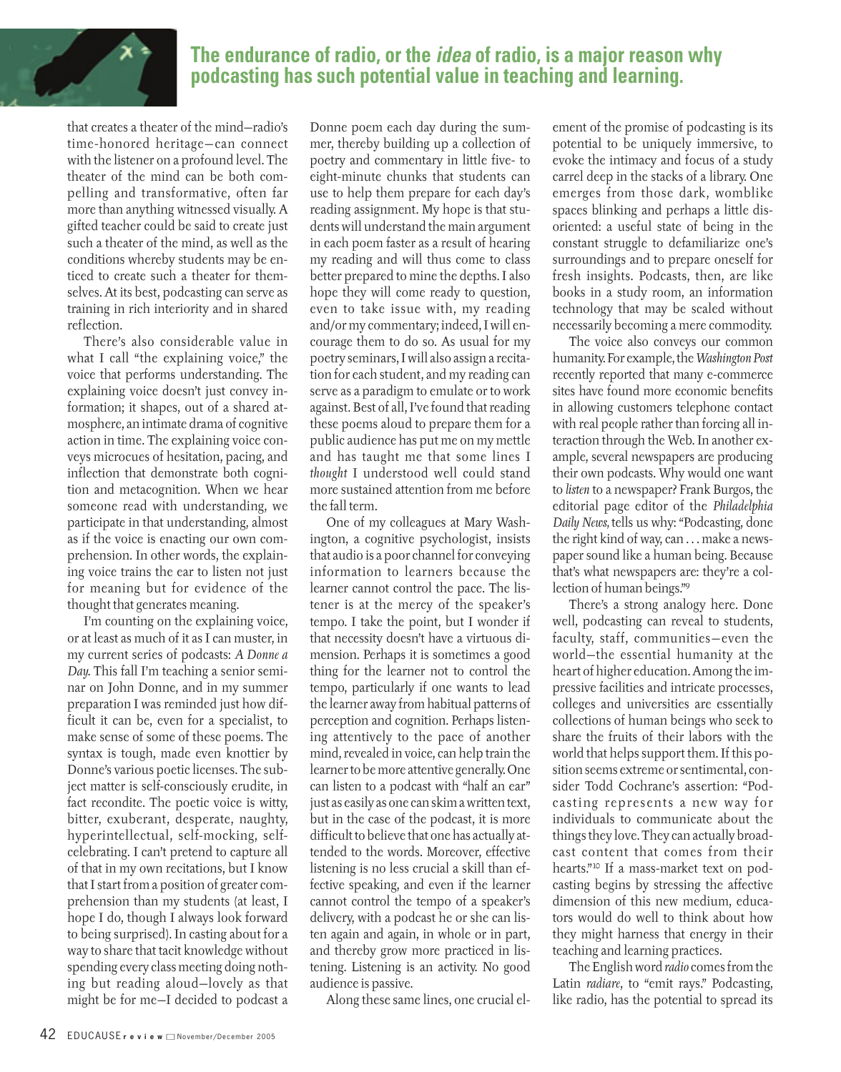

# **The endurance of radio, or the idea of radio, is a major reason why podcasting has such potential value in teaching and learning.**

that creates a theater of the mind—radio's time-honored heritage—can connect with the listener on a profound level. The theater of the mind can be both compelling and transformative, often far more than anything witnessed visually. A gifted teacher could be said to create just such a theater of the mind, as well as the conditions whereby students may be enticed to create such a theater for themselves. At its best, podcasting can serve as training in rich interiority and in shared reflection.

There's also considerable value in what I call "the explaining voice," the voice that performs understanding. The explaining voice doesn't just convey information; it shapes, out of a shared atmosphere, an intimate drama of cognitive action in time. The explaining voice conveys microcues of hesitation, pacing, and inflection that demonstrate both cognition and metacognition. When we hear someone read with understanding, we participate in that understanding, almost as if the voice is enacting our own comprehension. In other words, the explaining voice trains the ear to listen not just for meaning but for evidence of the thought that generates meaning.

I'm counting on the explaining voice, or at least as much of it as I can muster, in my current series of podcasts: *A Donne a Day.* This fall I'm teaching a senior seminar on John Donne, and in my summer preparation I was reminded just how difficult it can be, even for a specialist, to make sense of some of these poems. The syntax is tough, made even knottier by Donne's various poetic licenses. The subject matter is self-consciously erudite, in fact recondite. The poetic voice is witty, bitter, exuberant, desperate, naughty, hyperintellectual, self-mocking, selfcelebrating. I can't pretend to capture all of that in my own recitations, but I know that I start from a position of greater comprehension than my students (at least, I hope I do, though I always look forward to being surprised). In casting about for a way to share that tacit knowledge without spending every class meeting doing nothing but reading aloud—lovely as that might be for me—I decided to podcast a

Donne poem each day during the summer, thereby building up a collection of poetry and commentary in little five- to eight-minute chunks that students can use to help them prepare for each day's reading assignment. My hope is that students will understand the main argument in each poem faster as a result of hearing my reading and will thus come to class better prepared to mine the depths. I also hope they will come ready to question, even to take issue with, my reading and/or my commentary; indeed, I will encourage them to do so. As usual for my poetry seminars, I will also assign a recitation for each student, and my reading can serve as a paradigm to emulate or to work against. Best of all, I've found that reading these poems aloud to prepare them for a public audience has put me on my mettle and has taught me that some lines I *thought* I understood well could stand more sustained attention from me before the fall term.

One of my colleagues at Mary Washington, a cognitive psychologist, insists that audio is a poor channel for conveying information to learners because the learner cannot control the pace. The listener is at the mercy of the speaker's tempo. I take the point, but I wonder if that necessity doesn't have a virtuous dimension. Perhaps it is sometimes a good thing for the learner not to control the tempo, particularly if one wants to lead the learner away from habitual patterns of perception and cognition. Perhaps listening attentively to the pace of another mind, revealed in voice, can help train the learner to be more attentive generally. One can listen to a podcast with "half an ear" just as easily as one can skim a written text, but in the case of the podcast, it is more difficult to believe that one has actually attended to the words. Moreover, effective listening is no less crucial a skill than effective speaking, and even if the learner cannot control the tempo of a speaker's delivery, with a podcast he or she can listen again and again, in whole or in part, and thereby grow more practiced in listening. Listening is an activity. No good audience is passive.

Along these same lines, one crucial el-

ement of the promise of podcasting is its potential to be uniquely immersive, to evoke the intimacy and focus of a study carrel deep in the stacks of a library. One emerges from those dark, womblike spaces blinking and perhaps a little disoriented: a useful state of being in the constant struggle to defamiliarize one's surroundings and to prepare oneself for fresh insights. Podcasts, then, are like books in a study room, an information technology that may be scaled without necessarily becoming a mere commodity.

The voice also conveys our common humanity. For example, the *Washington Post* recently reported that many e-commerce sites have found more economic benefits in allowing customers telephone contact with real people rather than forcing all interaction through the Web. In another example, several newspapers are producing their own podcasts. Why would one want to *listen* to a newspaper? Frank Burgos, the editorial page editor of the *Philadelphia Daily News,* tells us why: "Podcasting, done the right kind of way, can . . . make a newspaper sound like a human being. Because that's what newspapers are: they're a collection of human beings."9

There's a strong analogy here. Done well, podcasting can reveal to students, faculty, staff, communities—even the world—the essential humanity at the heart of higher education. Among the impressive facilities and intricate processes, colleges and universities are essentially collections of human beings who seek to share the fruits of their labors with the world that helps support them. If this position seems extreme or sentimental, consider Todd Cochrane's assertion: "Podcasting represents a new way for individuals to communicate about the things they love. They can actually broadcast content that comes from their hearts."10 If a mass-market text on podcasting begins by stressing the affective dimension of this new medium, educators would do well to think about how they might harness that energy in their teaching and learning practices.

The English word *radio* comes from the Latin *radiare*, to "emit rays." Podcasting, like radio, has the potential to spread its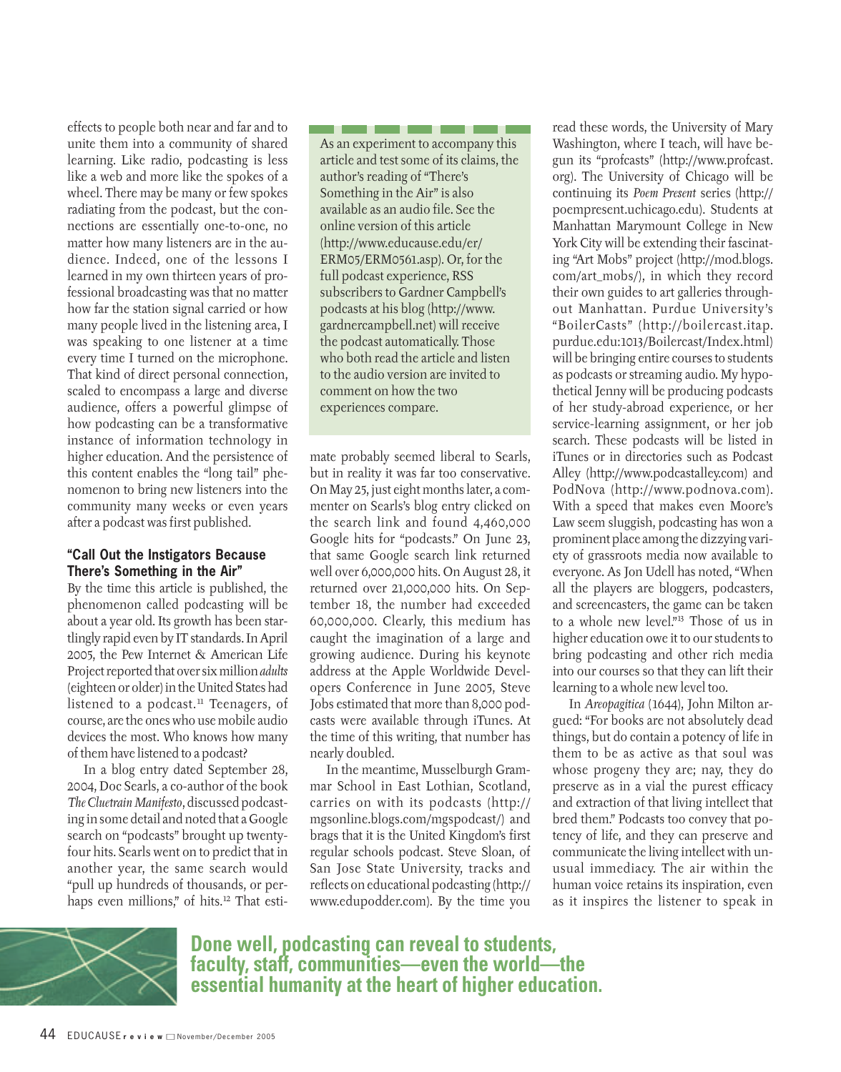effects to people both near and far and to unite them into a community of shared learning. Like radio, podcasting is less like a web and more like the spokes of a wheel. There may be many or few spokes radiating from the podcast, but the connections are essentially one-to-one, no matter how many listeners are in the audience. Indeed, one of the lessons I learned in my own thirteen years of professional broadcasting was that no matter how far the station signal carried or how many people lived in the listening area, I was speaking to one listener at a time every time I turned on the microphone. That kind of direct personal connection, scaled to encompass a large and diverse audience, offers a powerful glimpse of how podcasting can be a transformative instance of information technology in higher education. And the persistence of this content enables the "long tail" phenomenon to bring new listeners into the community many weeks or even years after a podcast was first published.

#### **"Call Out the Instigators Because There's Something in the Air"**

By the time this article is published, the phenomenon called podcasting will be about a year old. Its growth has been startlingly rapid even by IT standards. In April 2005, the Pew Internet & American Life Project reported that over six million *adults* (eighteen or older) in the United States had listened to a podcast.<sup>11</sup> Teenagers, of course, are the ones who use mobile audio devices the most. Who knows how many of them have listened to a podcast?

In a blog entry dated September 28, 2004, Doc Searls, a co-author of the book *The Cluetrain Manifesto*, discussed podcasting in some detail and noted that a Google search on "podcasts" brought up twentyfour hits. Searls went on to predict that in another year, the same search would "pull up hundreds of thousands, or perhaps even millions," of hits.<sup>12</sup> That estiAs an experiment to accompany this article and test some of its claims, the author's reading of "There's Something in the Air" is also available as an audio file. See the online version of this article (http://www.educause.edu/er/ ERM05/ERM0561.asp). Or, for the full podcast experience, RSS subscribers to Gardner Campbell's podcasts at his blog (http://www. gardnercampbell.net) will receive the podcast automatically. Those who both read the article and listen to the audio version are invited to comment on how the two experiences compare.

. . .

mate probably seemed liberal to Searls, but in reality it was far too conservative. On May 25, just eight months later, a commenter on Searls's blog entry clicked on the search link and found 4,460,000 Google hits for "podcasts." On June 23, that same Google search link returned well over 6,000,000 hits. On August 28, it returned over 21,000,000 hits. On September 18, the number had exceeded 60,000,000. Clearly, this medium has caught the imagination of a large and growing audience. During his keynote address at the Apple Worldwide Developers Conference in June 2005, Steve Jobs estimated that more than 8,000 podcasts were available through iTunes. At the time of this writing, that number has nearly doubled.

In the meantime, Musselburgh Grammar School in East Lothian, Scotland, carries on with its podcasts (http:// mgsonline.blogs.com/mgspodcast/) and brags that it is the United Kingdom's first regular schools podcast. Steve Sloan, of San Jose State University, tracks and reflects on educational podcasting (http:// www.edupodder.com). By the time you read these words, the University of Mary Washington, where I teach, will have begun its "profcasts" (http://www.profcast. org). The University of Chicago will be continuing its *Poem Present* series (http:// poempresent.uchicago.edu). Students at Manhattan Marymount College in New York City will be extending their fascinating "Art Mobs" project (http://mod.blogs. com/art\_mobs/), in which they record their own guides to art galleries throughout Manhattan. Purdue University's "BoilerCasts" (http://boilercast.itap. purdue.edu:1013/Boilercast/Index.html) will be bringing entire courses to students as podcasts or streaming audio. My hypothetical Jenny will be producing podcasts of her study-abroad experience, or her service-learning assignment, or her job search. These podcasts will be listed in iTunes or in directories such as Podcast Alley (http://www.podcastalley.com) and PodNova (http://www.podnova.com). With a speed that makes even Moore's Law seem sluggish, podcasting has won a prominent place among the dizzying variety of grassroots media now available to everyone. As Jon Udell has noted, "When all the players are bloggers, podcasters, and screencasters, the game can be taken to a whole new level."13 Those of us in higher education owe it to our students to bring podcasting and other rich media into our courses so that they can lift their learning to a whole new level too.

In *Areopagitica* (1644), John Milton argued: "For books are not absolutely dead things, but do contain a potency of life in them to be as active as that soul was whose progeny they are; nay, they do preserve as in a vial the purest efficacy and extraction of that living intellect that bred them." Podcasts too convey that potency of life, and they can preserve and communicate the living intellect with unusual immediacy. The air within the human voice retains its inspiration, even as it inspires the listener to speak in



**Done well, podcasting can reveal to students, faculty, staff, communities—even the world—the essential humanity at the heart of higher education.**